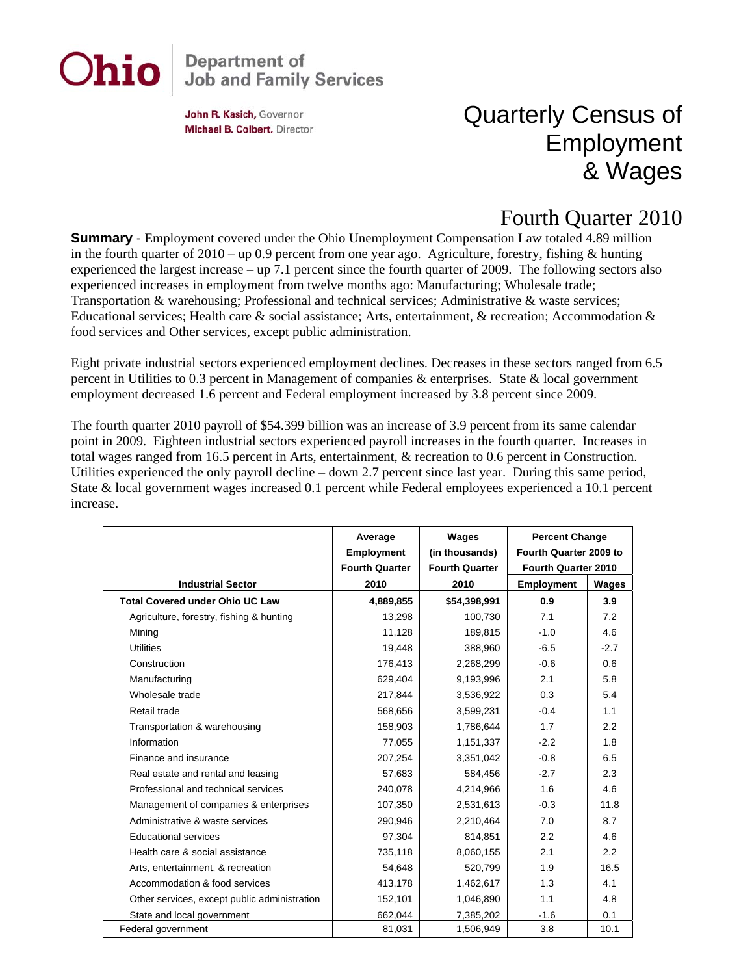# Ohio

## **Department of<br>Job and Family Services**

John R. Kasich, Governor Michael B. Colbert, Director

### Quarterly Census of Employment & Wages

#### Fourth Quarter 2010

**Summary** - Employment covered under the Ohio Unemployment Compensation Law totaled 4.89 million in the fourth quarter of 2010 – up 0.9 percent from one year ago. Agriculture, forestry, fishing & hunting experienced the largest increase – up 7.1 percent since the fourth quarter of 2009. The following sectors also experienced increases in employment from twelve months ago: Manufacturing; Wholesale trade; Transportation & warehousing; Professional and technical services; Administrative & waste services; Educational services; Health care & social assistance; Arts, entertainment, & recreation; Accommodation & food services and Other services, except public administration.

Eight private industrial sectors experienced employment declines. Decreases in these sectors ranged from 6.5 percent in Utilities to 0.3 percent in Management of companies & enterprises. State & local government employment decreased 1.6 percent and Federal employment increased by 3.8 percent since 2009.

The fourth quarter 2010 payroll of \$54.399 billion was an increase of 3.9 percent from its same calendar point in 2009. Eighteen industrial sectors experienced payroll increases in the fourth quarter. Increases in total wages ranged from 16.5 percent in Arts, entertainment, & recreation to 0.6 percent in Construction. Utilities experienced the only payroll decline – down 2.7 percent since last year. During this same period, State & local government wages increased 0.1 percent while Federal employees experienced a 10.1 percent increase.

|                                              | Average               | Wages                 | <b>Percent Change</b>  |        |
|----------------------------------------------|-----------------------|-----------------------|------------------------|--------|
|                                              | <b>Employment</b>     | (in thousands)        | Fourth Quarter 2009 to |        |
|                                              | <b>Fourth Quarter</b> | <b>Fourth Quarter</b> | Fourth Quarter 2010    |        |
| <b>Industrial Sector</b>                     | 2010                  | 2010                  | <b>Employment</b>      | Wages  |
| <b>Total Covered under Ohio UC Law</b>       | 4,889,855             | \$54,398,991          | 0.9                    | 3.9    |
| Agriculture, forestry, fishing & hunting     | 13,298                | 100,730               | 7.1                    | 7.2    |
| Mining                                       | 11,128                | 189,815               | $-1.0$                 | 4.6    |
| <b>Utilities</b>                             | 19,448                | 388,960               | $-6.5$                 | $-2.7$ |
| Construction                                 | 176,413               | 2,268,299             | $-0.6$                 | 0.6    |
| Manufacturing                                | 629,404               | 9,193,996             | 2.1                    | 5.8    |
| Wholesale trade                              | 217,844               | 3,536,922             | 0.3                    | 5.4    |
| Retail trade                                 | 568,656               | 3,599,231             | $-0.4$                 | 1.1    |
| Transportation & warehousing                 | 158,903               | 1,786,644             | 1.7                    | 2.2    |
| Information                                  | 77,055                | 1,151,337             | $-2.2$                 | 1.8    |
| Finance and insurance                        | 207,254               | 3,351,042             | $-0.8$                 | 6.5    |
| Real estate and rental and leasing           | 57,683                | 584,456               | $-2.7$                 | 2.3    |
| Professional and technical services          | 240,078               | 4,214,966             | 1.6                    | 4.6    |
| Management of companies & enterprises        | 107,350               | 2,531,613             | $-0.3$                 | 11.8   |
| Administrative & waste services              | 290,946               | 2,210,464             | 7.0                    | 8.7    |
| <b>Educational services</b>                  | 97,304                | 814,851               | 2.2                    | 4.6    |
| Health care & social assistance              | 735,118               | 8,060,155             | 2.1                    | 2.2    |
| Arts, entertainment, & recreation            | 54,648                | 520,799               | 1.9                    | 16.5   |
| Accommodation & food services                | 413,178               | 1,462,617             | 1.3                    | 4.1    |
| Other services, except public administration | 152,101               | 1,046,890             | 1.1                    | 4.8    |
| State and local government                   | 662,044               | 7,385,202             | $-1.6$                 | 0.1    |
| Federal government                           | 81,031                | 1,506,949             | 3.8                    | 10.1   |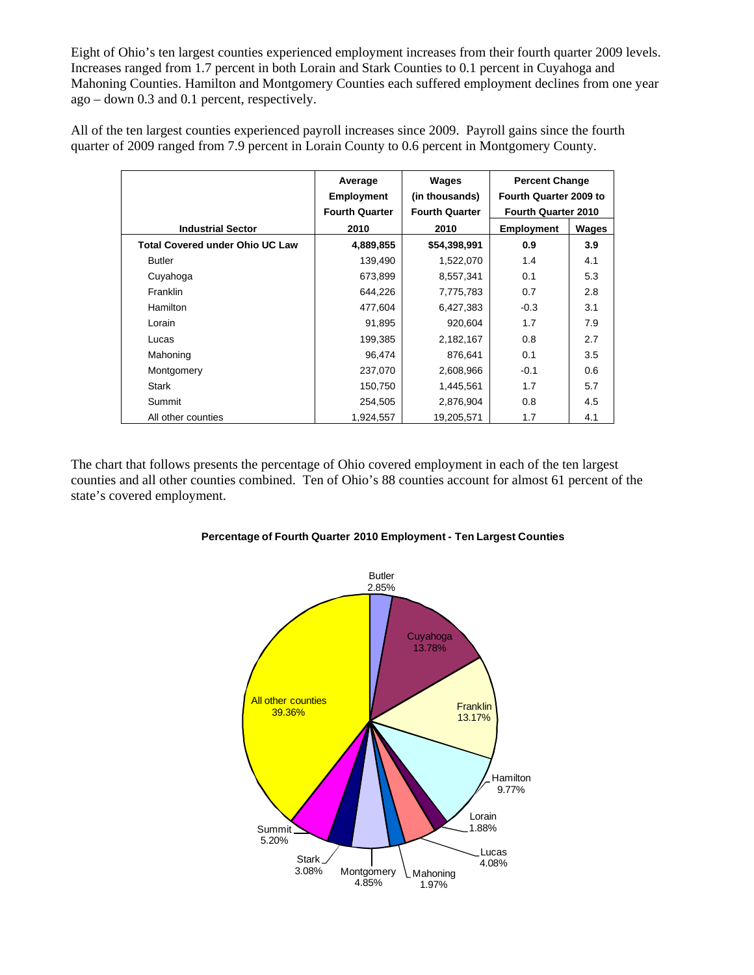Eight of Ohio's ten largest counties experienced employment increases from their fourth quarter 2009 levels. Increases ranged from 1.7 percent in both Lorain and Stark Counties to 0.1 percent in Cuyahoga and Mahoning Counties. Hamilton and Montgomery Counties each suffered employment declines from one year ago – down 0.3 and 0.1 percent, respectively.

All of the ten largest counties experienced payroll increases since 2009. Payroll gains since the fourth quarter of 2009 ranged from 7.9 percent in Lorain County to 0.6 percent in Montgomery County.

|                                        | Average               | Wages                 | <b>Percent Change</b>      |       |
|----------------------------------------|-----------------------|-----------------------|----------------------------|-------|
|                                        | <b>Employment</b>     | (in thousands)        | Fourth Quarter 2009 to     |       |
|                                        | <b>Fourth Quarter</b> | <b>Fourth Quarter</b> | <b>Fourth Quarter 2010</b> |       |
| <b>Industrial Sector</b>               | 2010                  | 2010                  | <b>Employment</b>          | Wages |
| <b>Total Covered under Ohio UC Law</b> | 4,889,855             | \$54,398,991          | 0.9                        | 3.9   |
| <b>Butler</b>                          | 139,490               | 1,522,070             | 1.4                        | 4.1   |
| Cuyahoga                               | 673,899               | 8,557,341             | 0.1                        | 5.3   |
| <b>Franklin</b>                        | 644,226               | 7,775,783             | 0.7                        | 2.8   |
| Hamilton                               | 477,604               | 6,427,383             | $-0.3$                     | 3.1   |
| Lorain                                 | 91,895                | 920,604               | 1.7                        | 7.9   |
| Lucas                                  | 199,385               | 2,182,167             | 0.8                        | 2.7   |
| Mahoning                               | 96,474                | 876,641               | 0.1                        | 3.5   |
| Montgomery                             | 237,070               | 2,608,966             | $-0.1$                     | 0.6   |
| Stark                                  | 150,750               | 1,445,561             | 1.7                        | 5.7   |
| Summit                                 | 254,505               | 2,876,904             | 0.8                        | 4.5   |
| All other counties                     | 1,924,557             | 19,205,571            | 1.7                        | 4.1   |

The chart that follows presents the percentage of Ohio covered employment in each of the ten largest counties and all other counties combined. Ten of Ohio's 88 counties account for almost 61 percent of the state's covered employment.



#### **Percentage of Fourth Quarter 2010 Employment - Ten Largest Counties**